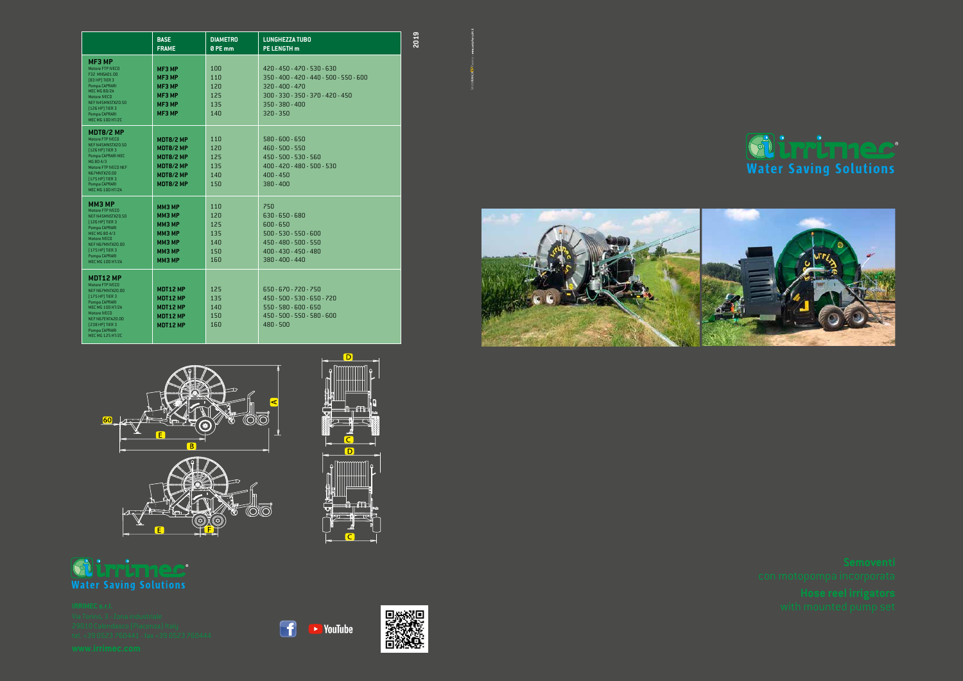|                                                                                                                                                                                                                       | <b>BASE</b><br><b>FRAME</b>                                                                           | <b>DIAMETRO</b><br>0 PE mm                    | <b>LUNGHEZZA TUBO</b><br><b>PE LENGTH m</b>                                                                                                                            |
|-----------------------------------------------------------------------------------------------------------------------------------------------------------------------------------------------------------------------|-------------------------------------------------------------------------------------------------------|-----------------------------------------------|------------------------------------------------------------------------------------------------------------------------------------------------------------------------|
| <b>MF3 MP</b><br>Motore FTP IVECO<br>F32 MNSA01.00<br>[83 HP] TIER 3<br>Pompa CAPRARI<br><b>MEC MG 80/2A</b><br>Motore IVECO<br>NEF N45MNSTX20.50<br>[126 HP] TIER 3<br>Pompa CAPRARI<br>MEC MG 100 HT/2C             | <b>MF3 MP</b><br>MF3 MP<br>MF3 MP<br>MF3 MP<br>MF3 MP<br>MF3 MP                                       | 100<br>110<br>120<br>125<br>135<br>140        | 420 - 450 - 470 - 530 - 630<br>$350 - 400 - 420 - 440 - 500 - 550 - 600$<br>$320 - 400 - 470$<br>300 - 330 - 350 - 370 - 420 - 450<br>$350 - 380 - 400$<br>$320 - 350$ |
| <b>MDT8/2 MP</b><br>Motore FTP IVECO<br>NEF N45MNSTX20.50<br>[126 HP] TIER 3<br>Pompa CAPRARI MEC<br>MG 80 4/3<br>Motore FTP IVECO NEF<br>N67MNTX20.00<br>[175 HP] TIER 3<br>Pompa CAPRARI<br><b>MEC MG 100 HT/2A</b> | <b>MDT8/2 MP</b><br><b>MDT8/2 MP</b><br>MDT8/2 MP<br><b>MDT8/2 MP</b><br>MDT8/2 MP<br>MDT8/2 MP       | 110<br>120<br>125<br>135<br>140<br>150        | $580 - 600 - 650$<br>460 - 500 - 550<br>450 - 500 - 530 - 560<br>400 - 420 - 480 - 500 - 530<br>$400 - 450$<br>$380 - 400$                                             |
| <b>ММЗ МР</b><br>Motore FTP IVECO<br>NEF N45MNSTX20.50<br>[126 HP] TIER 3<br>Pompa CAPRARI<br>MEC MG 80 4/3<br>Motore IVECO<br>NEF N67MNTX20.00<br>[175 HP] TIER 3<br>Pompa CAPRARI<br><b>MEC MG 100 HT/2A</b>        | ММЗ МР<br><b>ММЗ МР</b><br><b>ММЗ МР</b><br><b>ММЗ МР</b><br><b>ММЗ МР</b><br>ММЗ МР<br><b>ММЗ МР</b> | 110<br>120<br>125<br>135<br>140<br>150<br>160 | 750<br>$630 - 650 - 680$<br>$600 - 650$<br>$500 - 530 - 550 - 600$<br>450 - 480 - 500 - 550<br>400 - 430 - 450 - 480<br>380 - 400 - 440                                |
| <b>MDT12 MP</b><br>Motore FTP IVECO<br>NEF N67MNTX20.00<br>[175 HP] TIER 3<br>Pompa CAPRARI<br><b>MEC MG 100 HT/2A</b><br>Motore IVECO<br>NEF N67ENTA20.00<br>[238 HP] TIER 3<br>Pompa CAPRARI<br>MEC MG 125 HT/2C    | MDT12 MP<br>MDT12 MP<br>MDT12 MP<br>MDT12 MP<br>MDT12 MP                                              | 125<br>135<br>140<br>150<br>160               | 650 - 670 - 720 - 750<br>450 - 500 - 530 - 650 - 720<br>$550 - 580 - 600 - 650$<br>450 - 500 - 550 - 580 - 600<br>$480 - 500$                                          |





**2019**





 $\bigcap$ 



## **SLIPPLITTIEC**